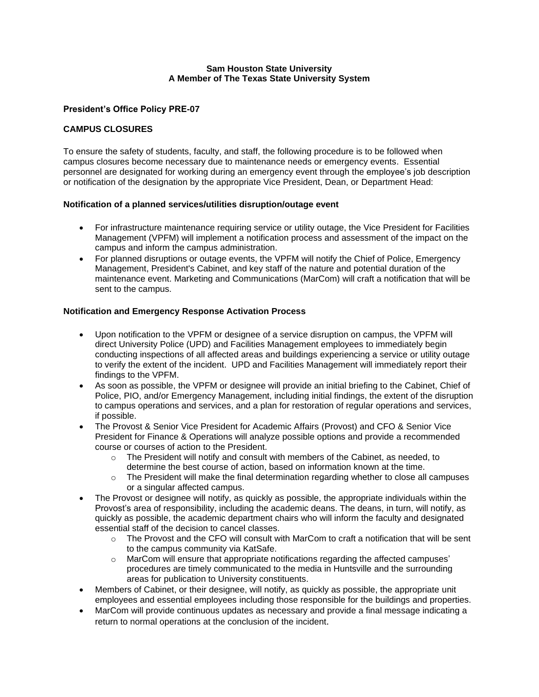### **Sam Houston State University A Member of The Texas State University System**

### **President's Office Policy PRE-07**

### **CAMPUS CLOSURES**

To ensure the safety of students, faculty, and staff, the following procedure is to be followed when campus closures become necessary due to maintenance needs or emergency events. Essential personnel are designated for working during an emergency event through the employee's job description or notification of the designation by the appropriate Vice President, Dean, or Department Head:

### **Notification of a planned services/utilities disruption/outage event**

- For infrastructure maintenance requiring service or utility outage, the Vice President for Facilities Management (VPFM) will implement a notification process and assessment of the impact on the campus and inform the campus administration.
- For planned disruptions or outage events, the VPFM will notify the Chief of Police, Emergency Management, President's Cabinet, and key staff of the nature and potential duration of the maintenance event. Marketing and Communications (MarCom) will craft a notification that will be sent to the campus.

# **Notification and Emergency Response Activation Process**

- Upon notification to the VPFM or designee of a service disruption on campus, the VPFM will direct University Police (UPD) and Facilities Management employees to immediately begin conducting inspections of all affected areas and buildings experiencing a service or utility outage to verify the extent of the incident. UPD and Facilities Management will immediately report their findings to the VPFM.
- As soon as possible, the VPFM or designee will provide an initial briefing to the Cabinet, Chief of Police, PIO, and/or Emergency Management, including initial findings, the extent of the disruption to campus operations and services, and a plan for restoration of regular operations and services, if possible.
- The Provost & Senior Vice President for Academic Affairs (Provost) and CFO & Senior Vice President for Finance & Operations will analyze possible options and provide a recommended course or courses of action to the President.
	- $\circ$  The President will notify and consult with members of the Cabinet, as needed, to determine the best course of action, based on information known at the time.
	- $\circ$  The President will make the final determination regarding whether to close all campuses or a singular affected campus.
- The Provost or designee will notify, as quickly as possible, the appropriate individuals within the Provost's area of responsibility, including the academic deans. The deans, in turn, will notify, as quickly as possible, the academic department chairs who will inform the faculty and designated essential staff of the decision to cancel classes.
	- $\circ$  The Provost and the CFO will consult with MarCom to craft a notification that will be sent to the campus community via KatSafe.
	- $\circ$  MarCom will ensure that appropriate notifications regarding the affected campuses' procedures are timely communicated to the media in Huntsville and the surrounding areas for publication to University constituents.
- Members of Cabinet, or their designee, will notify, as quickly as possible, the appropriate unit employees and essential employees including those responsible for the buildings and properties.
- MarCom will provide continuous updates as necessary and provide a final message indicating a return to normal operations at the conclusion of the incident.